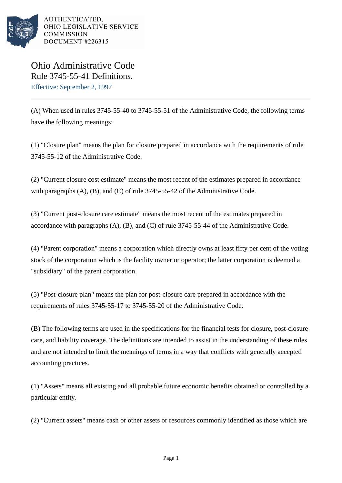

AUTHENTICATED. OHIO LEGISLATIVE SERVICE **COMMISSION** DOCUMENT #226315

Ohio Administrative Code Rule 3745-55-41 Definitions. Effective: September 2, 1997

(A) When used in rules 3745-55-40 to 3745-55-51 of the Administrative Code, the following terms have the following meanings:

(1) "Closure plan" means the plan for closure prepared in accordance with the requirements of rule 3745-55-12 of the Administrative Code.

(2) "Current closure cost estimate" means the most recent of the estimates prepared in accordance with paragraphs (A), (B), and (C) of rule 3745-55-42 of the Administrative Code.

(3) "Current post-closure care estimate" means the most recent of the estimates prepared in accordance with paragraphs (A), (B), and (C) of rule 3745-55-44 of the Administrative Code.

(4) "Parent corporation" means a corporation which directly owns at least fifty per cent of the voting stock of the corporation which is the facility owner or operator; the latter corporation is deemed a "subsidiary" of the parent corporation.

(5) "Post-closure plan" means the plan for post-closure care prepared in accordance with the requirements of rules 3745-55-17 to 3745-55-20 of the Administrative Code.

(B) The following terms are used in the specifications for the financial tests for closure, post-closure care, and liability coverage. The definitions are intended to assist in the understanding of these rules and are not intended to limit the meanings of terms in a way that conflicts with generally accepted accounting practices.

(1) "Assets" means all existing and all probable future economic benefits obtained or controlled by a particular entity.

(2) "Current assets" means cash or other assets or resources commonly identified as those which are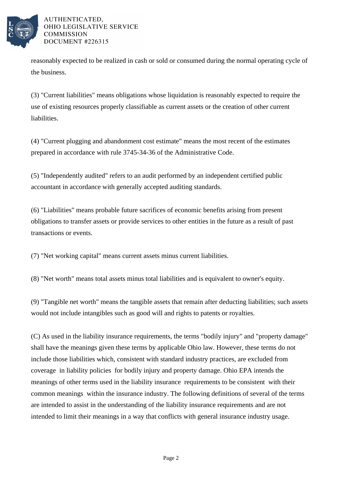

## AUTHENTICATED. OHIO LEGISLATIVE SERVICE **COMMISSION** DOCUMENT #226315

reasonably expected to be realized in cash or sold or consumed during the normal operating cycle of the business.

(3) "Current liabilities" means obligations whose liquidation is reasonably expected to require the use of existing resources properly classifiable as current assets or the creation of other current liabilities.

(4) "Current plugging and abandonment cost estimate" means the most recent of the estimates prepared in accordance with rule 3745-34-36 of the Administrative Code.

(5) "Independently audited" refers to an audit performed by an independent certified public accountant in accordance with generally accepted auditing standards.

(6) "Liabilities" means probable future sacrifices of economic benefits arising from present obligations to transfer assets or provide services to other entities in the future as a result of past transactions or events.

(7) "Net working capital" means current assets minus current liabilities.

(8) "Net worth" means total assets minus total liabilities and is equivalent to owner's equity.

(9) "Tangible net worth" means the tangible assets that remain after deducting liabilities; such assets would not include intangibles such as good will and rights to patents or royalties.

(C) As used in the liability insurance requirements, the terms "bodily injury" and "property damage" shall have the meanings given these terms by applicable Ohio law. However, these terms do not include those liabilities which, consistent with standard industry practices, are excluded from coverage in liability policies for bodily injury and property damage. Ohio EPA intends the meanings of other terms used in the liability insurance requirements to be consistent with their common meanings within the insurance industry. The following definitions of several of the terms are intended to assist in the understanding of the liability insurance requirements and are not intended to limit their meanings in a way that conflicts with general insurance industry usage.